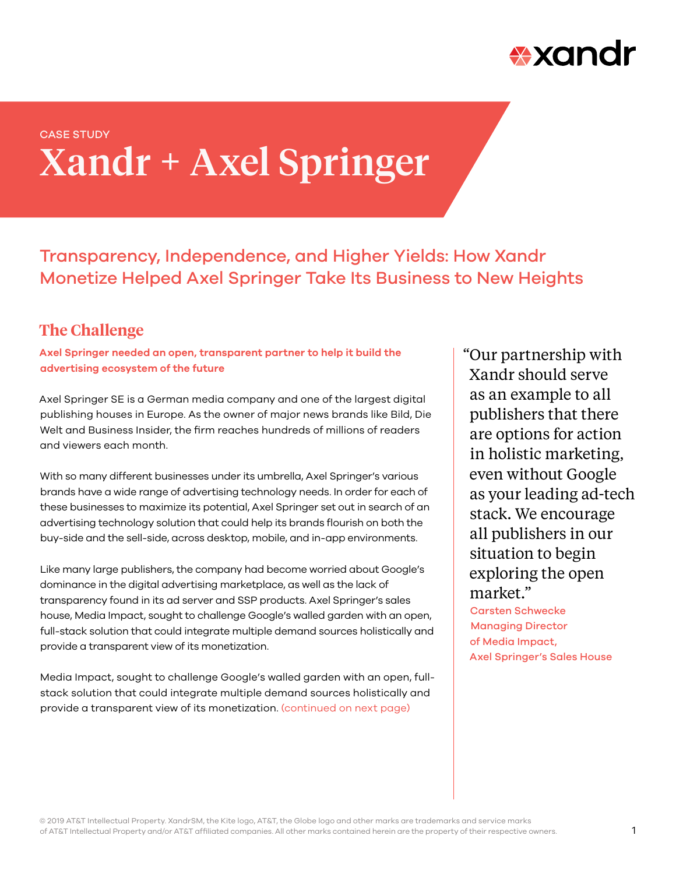

# Xandr + Axel Springer CASE STUDY

Transparency, Independence, and Higher Yields: How Xandr Monetize Helped Axel Springer Take Its Business to New Heights

### **The Challenge**

**Axel Springer needed an open, transparent partner to help it build the advertising ecosystem of the future**

Axel Springer SE is a German media company and one of the largest digital publishing houses in Europe. As the owner of major news brands like Bild, Die Welt and Business Insider, the firm reaches hundreds of millions of readers and viewers each month.

With so many different businesses under its umbrella, Axel Springer's various brands have a wide range of advertising technology needs. In order for each of these businesses to maximize its potential, Axel Springer set out in search of an advertising technology solution that could help its brands flourish on both the buy-side and the sell-side, across desktop, mobile, and in-app environments.

Like many large publishers, the company had become worried about Google's dominance in the digital advertising marketplace, as well as the lack of transparency found in its ad server and SSP products. Axel Springer's sales house, Media Impact, sought to challenge Google's walled garden with an open, full-stack solution that could integrate multiple demand sources holistically and provide a transparent view of its monetization.

Media Impact, sought to challenge Google's walled garden with an open, fullstack solution that could integrate multiple demand sources holistically and provide a transparent view of its monetization. (continued on next page)

"Our partnership with Xandr should serve as an example to all publishers that there are options for action in holistic marketing, even without Google as your leading ad-tech stack. We encourage all publishers in our situation to begin exploring the open market."

Carsten Schwecke Managing Director of Media Impact, Axel Springer's Sales House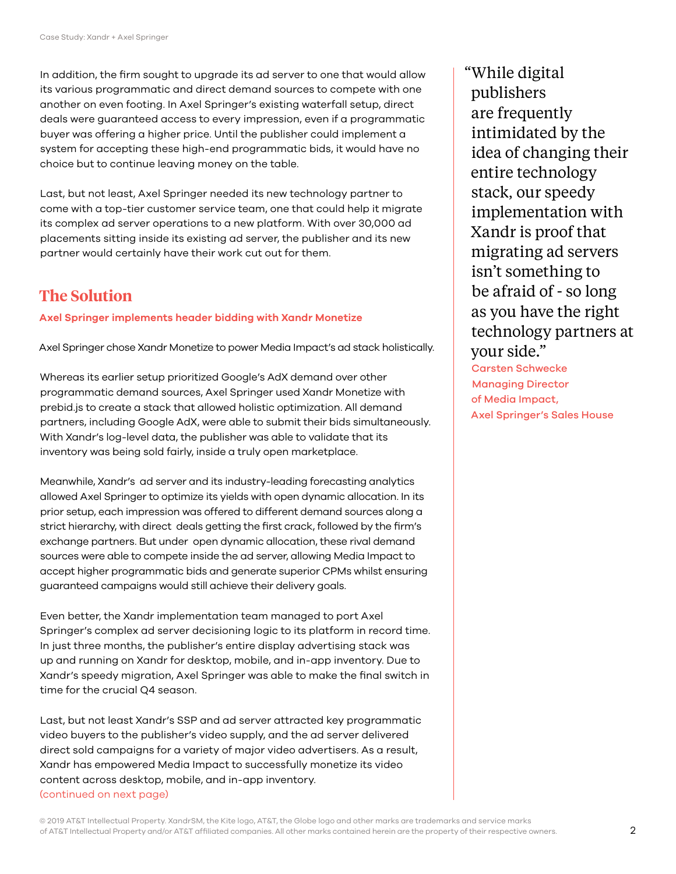In addition, the firm sought to upgrade its ad server to one that would allow its various programmatic and direct demand sources to compete with one another on even footing. In Axel Springer's existing waterfall setup, direct deals were guaranteed access to every impression, even if a programmatic buyer was offering a higher price. Until the publisher could implement a system for accepting these high-end programmatic bids, it would have no choice but to continue leaving money on the table.

Last, but not least, Axel Springer needed its new technology partner to come with a top-tier customer service team, one that could help it migrate its complex ad server operations to a new platform. With over 30,000 ad placements sitting inside its existing ad server, the publisher and its new partner would certainly have their work cut out for them.

## **The Solution**

#### **Axel Springer implements header bidding with Xandr Monetize**

Axel Springer chose Xandr Monetize to power Media Impact's ad stack holistically.

Whereas its earlier setup prioritized Google's AdX demand over other programmatic demand sources, Axel Springer used Xandr Monetize with prebid.js to create a stack that allowed holistic optimization. All demand partners, including Google AdX, were able to submit their bids simultaneously. With Xandr's log-level data, the publisher was able to validate that its inventory was being sold fairly, inside a truly open marketplace.

Meanwhile, Xandr's ad server and its industry-leading forecasting analytics allowed Axel Springer to optimize its yields with open dynamic allocation. In its prior setup, each impression was offered to different demand sources along a strict hierarchy, with direct deals getting the first crack, followed by the firm's exchange partners. But under open dynamic allocation, these rival demand sources were able to compete inside the ad server, allowing Media Impact to accept higher programmatic bids and generate superior CPMs whilst ensuring guaranteed campaigns would still achieve their delivery goals.

Even better, the Xandr implementation team managed to port Axel Springer's complex ad server decisioning logic to its platform in record time. In just three months, the publisher's entire display advertising stack was up and running on Xandr for desktop, mobile, and in-app inventory. Due to Xandr's speedy migration, Axel Springer was able to make the final switch in time for the crucial Q4 season.

Last, but not least Xandr's SSP and ad server attracted key programmatic video buyers to the publisher's video supply, and the ad server delivered direct sold campaigns for a variety of major video advertisers. As a result, Xandr has empowered Media Impact to successfully monetize its video content across desktop, mobile, and in-app inventory. (continued on next page)

"While digital publishers are frequently intimidated by the idea of changing their entire technology stack, our speedy implementation with Xandr is proof that migrating ad servers isn't something to be afraid of - so long as you have the right technology partners at your side."

Carsten Schwecke Managing Director of Media Impact, Axel Springer's Sales House